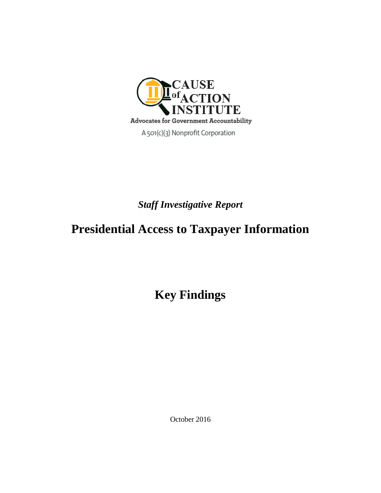

*Staff Investigative Report*

# **Presidential Access to Taxpayer Information**

**Key Findings**

October 2016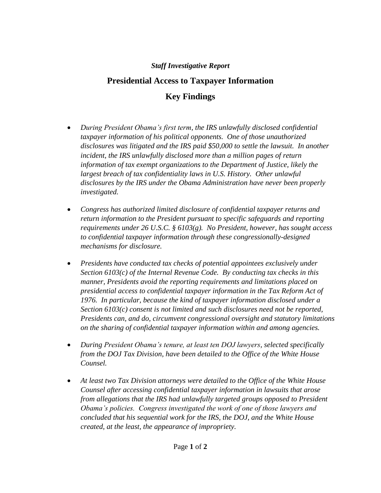#### *Staff Investigative Report*

# **Presidential Access to Taxpayer Information**

## **Key Findings**

- *During President Obama's first term, the IRS unlawfully disclosed confidential taxpayer information of his political opponents. One of those unauthorized disclosures was litigated and the IRS paid \$50,000 to settle the lawsuit. In another incident, the IRS unlawfully disclosed more than a million pages of return information of tax exempt organizations to the Department of Justice, likely the largest breach of tax confidentiality laws in U.S. History. Other unlawful disclosures by the IRS under the Obama Administration have never been properly investigated.*
- *Congress has authorized limited disclosure of confidential taxpayer returns and return information to the President pursuant to specific safeguards and reporting requirements under 26 U.S.C. § 6103(g). No President, however, has sought access to confidential taxpayer information through these congressionally-designed mechanisms for disclosure.*
- *Presidents have conducted tax checks of potential appointees exclusively under Section 6103(c) of the Internal Revenue Code. By conducting tax checks in this manner, Presidents avoid the reporting requirements and limitations placed on presidential access to confidential taxpayer information in the Tax Reform Act of 1976. In particular, because the kind of taxpayer information disclosed under a Section 6103(c) consent is not limited and such disclosures need not be reported, Presidents can, and do, circumvent congressional oversight and statutory limitations on the sharing of confidential taxpayer information within and among agencies.*
- *During President Obama's tenure, at least ten DOJ lawyers, selected specifically from the DOJ Tax Division, have been detailed to the Office of the White House Counsel.*
- *At least two Tax Division attorneys were detailed to the Office of the White House Counsel after accessing confidential taxpayer information in lawsuits that arose from allegations that the IRS had unlawfully targeted groups opposed to President Obama's policies. Congress investigated the work of one of those lawyers and concluded that his sequential work for the IRS, the DOJ, and the White House created, at the least, the appearance of impropriety.*